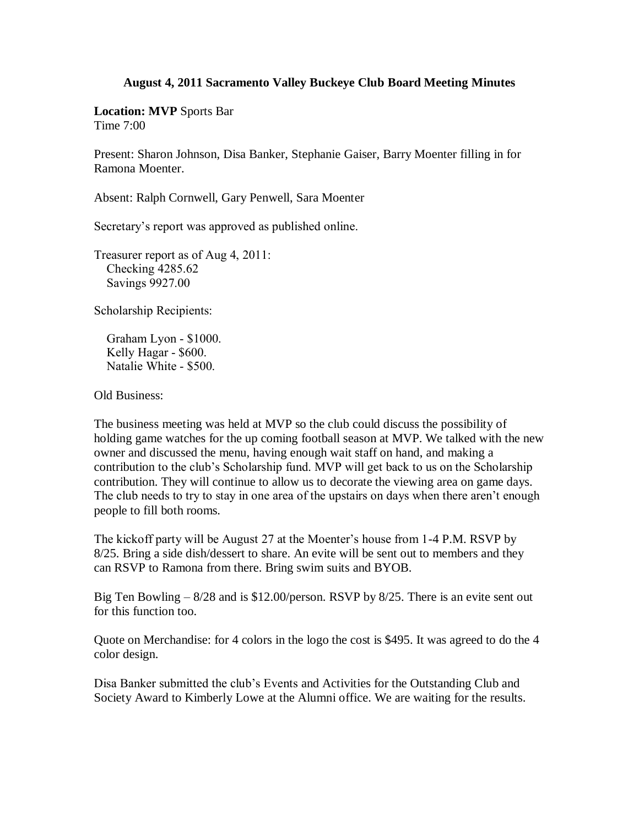## **August 4, 2011 Sacramento Valley Buckeye Club Board Meeting Minutes**

**Location: MVP** Sports Bar Time 7:00

Present: Sharon Johnson, Disa Banker, Stephanie Gaiser, Barry Moenter filling in for Ramona Moenter.

Absent: Ralph Cornwell, Gary Penwell, Sara Moenter

Secretary's report was approved as published online.

Treasurer report as of Aug 4, 2011: Checking 4285.62 Savings 9927.00

Scholarship Recipients:

 Graham Lyon - \$1000. Kelly Hagar - \$600. Natalie White - \$500.

Old Business:

The business meeting was held at MVP so the club could discuss the possibility of holding game watches for the up coming football season at MVP. We talked with the new owner and discussed the menu, having enough wait staff on hand, and making a contribution to the club's Scholarship fund. MVP will get back to us on the Scholarship contribution. They will continue to allow us to decorate the viewing area on game days. The club needs to try to stay in one area of the upstairs on days when there aren't enough people to fill both rooms.

The kickoff party will be August 27 at the Moenter's house from 1-4 P.M. RSVP by 8/25. Bring a side dish/dessert to share. An evite will be sent out to members and they can RSVP to Ramona from there. Bring swim suits and BYOB.

Big Ten Bowling – 8/28 and is \$12.00/person. RSVP by 8/25. There is an evite sent out for this function too.

Quote on Merchandise: for 4 colors in the logo the cost is \$495. It was agreed to do the 4 color design.

Disa Banker submitted the club's Events and Activities for the Outstanding Club and Society Award to Kimberly Lowe at the Alumni office. We are waiting for the results.